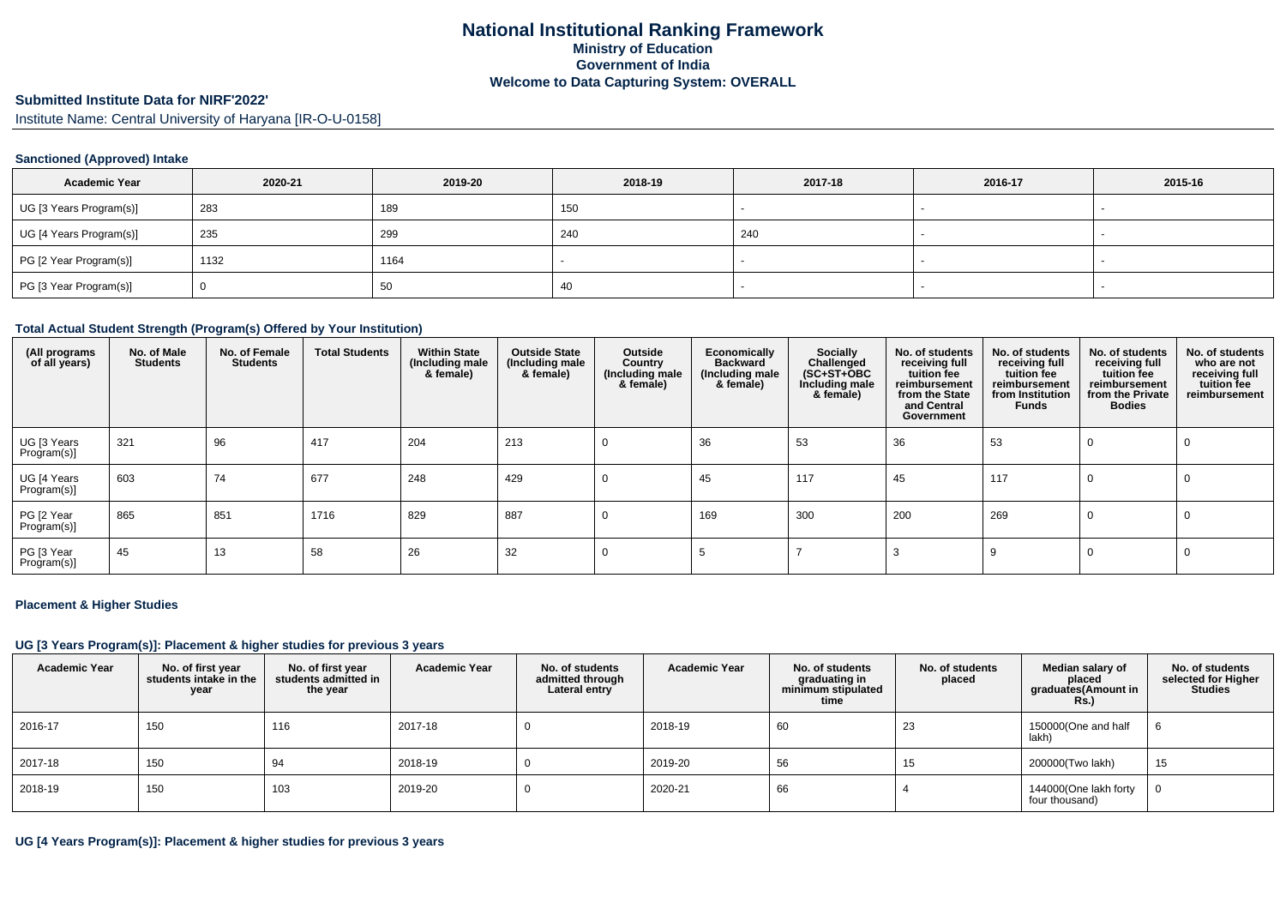# **Submitted Institute Data for NIRF'2022'**

Institute Name: Central University of Haryana [IR-O-U-0158]

#### **Sanctioned (Approved) Intake**

| <b>Academic Year</b>    | 2020-21 | 2019-20 | 2018-19 | 2017-18 | 2016-17 | 2015-16 |
|-------------------------|---------|---------|---------|---------|---------|---------|
| UG [3 Years Program(s)] | 283     | 189     | 150     |         |         |         |
| UG [4 Years Program(s)] | 235     | 299     | 240     | 240     |         |         |
| PG [2 Year Program(s)]  | 1132    | 1164    |         |         |         | $\sim$  |
| PG [3 Year Program(s)]  |         | 50      | 40      |         |         |         |

#### **Total Actual Student Strength (Program(s) Offered by Your Institution)**

| (All programs<br>of all years) | No. of Male<br><b>Students</b> | No. of Female<br><b>Students</b> | <b>Total Students</b> | <b>Within State</b><br>(Including male<br>& female) | <b>Outside State</b><br>(Including male<br>& female) | Outside<br>Country<br>(Including male)<br>& female) | Economically<br><b>Backward</b><br>(Including male<br>& female) | Socially<br>Challenged<br>$(SC+ST+OBC)$<br>Including male<br>& female) | No. of students<br>receiving full<br>tuition fee<br>reimbursement<br>from the State<br>and Central<br>Government | No. of students<br>receiving full<br>tuition fee<br>reimbursement<br>from Institution<br><b>Funds</b> | No. of students<br>receiving full<br>tuition fee<br>reimbursement<br>from the Private<br><b>Bodies</b> | No. of students<br>who are not<br>receiving full<br>tuition fee<br>reimbursement |
|--------------------------------|--------------------------------|----------------------------------|-----------------------|-----------------------------------------------------|------------------------------------------------------|-----------------------------------------------------|-----------------------------------------------------------------|------------------------------------------------------------------------|------------------------------------------------------------------------------------------------------------------|-------------------------------------------------------------------------------------------------------|--------------------------------------------------------------------------------------------------------|----------------------------------------------------------------------------------|
| UG [3 Years<br>Program(s)]     | 321                            | 96                               | 417                   | 204                                                 | 213                                                  |                                                     | 36                                                              | 53                                                                     | 36                                                                                                               | 53                                                                                                    | 0                                                                                                      | 0                                                                                |
| UG [4 Years<br>Program(s)]     | 603                            | 74                               | 677                   | 248                                                 | 429                                                  |                                                     | 45                                                              | 117                                                                    | 45                                                                                                               | 117                                                                                                   | 0                                                                                                      | 0                                                                                |
| PG [2 Year<br>Program(s)]      | 865                            | 851                              | 1716                  | 829                                                 | 887                                                  |                                                     | 169                                                             | 300                                                                    | 200                                                                                                              | 269                                                                                                   | 0                                                                                                      | 0                                                                                |
| PG [3 Year<br>Program(s)]      | 45                             | 13                               | 58                    | 26                                                  | 32                                                   |                                                     |                                                                 |                                                                        |                                                                                                                  | 9                                                                                                     | 0                                                                                                      | $\Omega$                                                                         |

#### **Placement & Higher Studies**

#### **UG [3 Years Program(s)]: Placement & higher studies for previous 3 years**

| <b>Academic Year</b> | No. of first year<br>students intake in the<br>year | No. of first vear<br>students admitted in<br>the year | <b>Academic Year</b> | No. of students<br>admitted through<br>Lateral entry | <b>Academic Year</b> | No. of students<br>graduating in<br>minimum stipulated<br>time | No. of students<br>placed | Median salary of<br>placed<br>graduates(Amount in<br>Rs. | No. of students<br>selected for Higher<br><b>Studies</b> |
|----------------------|-----------------------------------------------------|-------------------------------------------------------|----------------------|------------------------------------------------------|----------------------|----------------------------------------------------------------|---------------------------|----------------------------------------------------------|----------------------------------------------------------|
| 2016-17              | 150                                                 | 116                                                   | 2017-18              |                                                      | 2018-19              | 60                                                             | 23                        | 150000(One and half<br>lakh)                             | 6                                                        |
| 2017-18              | 150                                                 | 94                                                    | 2018-19              |                                                      | 2019-20              | 56                                                             | 15                        | 200000(Two lakh)                                         | 15                                                       |
| 2018-19              | 150                                                 | 103                                                   | 2019-20              |                                                      | 2020-21              | 66                                                             |                           | 144000(One lakh forty<br>four thousand)                  | 0                                                        |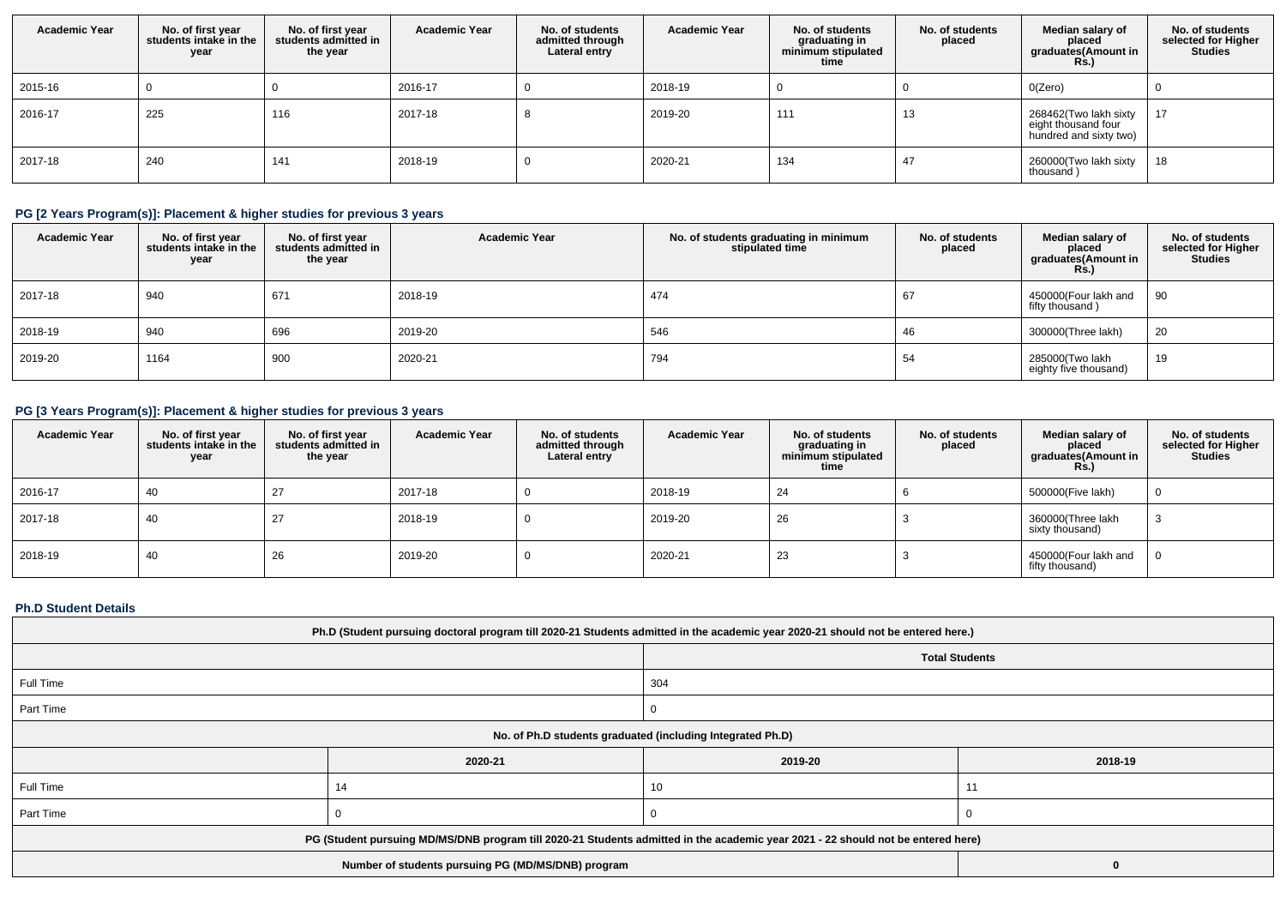| <b>Academic Year</b> | No. of first year<br>students intake in the<br>year | No. of first year<br>students admitted in<br>the year | <b>Academic Year</b> | No. of students<br>admitted through<br>Lateral entry | <b>Academic Year</b> | No. of students<br>graduating in<br>minimum stipulated<br>time | No. of students<br>placed | Median salary of<br>placed<br>graduates(Amount in<br><b>Rs.)</b>       | No. of students<br>selected for Higher<br><b>Studies</b> |
|----------------------|-----------------------------------------------------|-------------------------------------------------------|----------------------|------------------------------------------------------|----------------------|----------------------------------------------------------------|---------------------------|------------------------------------------------------------------------|----------------------------------------------------------|
| 2015-16              |                                                     |                                                       | 2016-17              |                                                      | 2018-19              |                                                                |                           | O(Zero)                                                                |                                                          |
| 2016-17              | 225                                                 | 116                                                   | 2017-18              |                                                      | 2019-20              | 111                                                            | 13                        | 268462(Two lakh sixty<br>eight thousand four<br>hundred and sixty two) | 17                                                       |
| 2017-18              | 240                                                 | 141                                                   | 2018-19              |                                                      | 2020-21              | 134                                                            | 47                        | 260000(Two lakh sixty<br>thousand)                                     | 18                                                       |

# **PG [2 Years Program(s)]: Placement & higher studies for previous 3 years**

| <b>Academic Year</b> | No. of first year<br>students intake in the<br>year | No. of first year<br>students admitted in<br>the year | <b>Academic Year</b> | No. of students graduating in minimum<br>stipulated time | No. of students<br>placed | Median salary of<br>placed<br>graduates(Amount in<br>Rs.) | No. of students<br>selected for Higher<br><b>Studies</b> |
|----------------------|-----------------------------------------------------|-------------------------------------------------------|----------------------|----------------------------------------------------------|---------------------------|-----------------------------------------------------------|----------------------------------------------------------|
| 2017-18              | 940                                                 | 671                                                   | 2018-19              | 474                                                      | 67                        | 450000(Four lakh and<br>fifty thousand)                   | 90                                                       |
| 2018-19              | 940                                                 | 696                                                   | 2019-20              | 546                                                      | 46                        | 300000(Three lakh)                                        | 20                                                       |
| 2019-20              | 1164                                                | 900                                                   | 2020-21              | 794                                                      | 54                        | 285000(Two lakh<br>eighty five thousand)                  | 19                                                       |

## **PG [3 Years Program(s)]: Placement & higher studies for previous 3 years**

| <b>Academic Year</b> | No. of first year<br>students intake in the<br>year | No. of first vear<br>students admitted in<br>the year | <b>Academic Year</b> | No. of students<br>admitted through<br>Lateral entry | <b>Academic Year</b> | No. of students<br>graduating in<br>minimum stipulated<br>time | No. of students<br>placed | Median salary of<br>placed<br>graduates(Amount in<br><b>Rs.</b> ) | No. of students<br>selected for Higher<br><b>Studies</b> |
|----------------------|-----------------------------------------------------|-------------------------------------------------------|----------------------|------------------------------------------------------|----------------------|----------------------------------------------------------------|---------------------------|-------------------------------------------------------------------|----------------------------------------------------------|
| 2016-17              | 40                                                  | 27                                                    | 2017-18              |                                                      | 2018-19              | 24                                                             |                           | 500000(Five lakh)                                                 |                                                          |
| 2017-18              | 40                                                  | 27                                                    | 2018-19              |                                                      | 2019-20              | 26                                                             |                           | 360000(Three lakh<br>sixty thousand)                              |                                                          |
| 2018-19              | 40                                                  | 26                                                    | 2019-20              |                                                      | 2020-21              | 23                                                             |                           | 450000(Four lakh and<br>fifty thousand)                           |                                                          |

#### **Ph.D Student Details**

| Ph.D (Student pursuing doctoral program till 2020-21 Students admitted in the academic year 2020-21 should not be entered here.) |         |                    |  |  |  |  |
|----------------------------------------------------------------------------------------------------------------------------------|---------|--------------------|--|--|--|--|
| <b>Total Students</b>                                                                                                            |         |                    |  |  |  |  |
| Full Time                                                                                                                        |         | 304                |  |  |  |  |
| Part Time                                                                                                                        |         |                    |  |  |  |  |
| No. of Ph.D students graduated (including Integrated Ph.D)                                                                       |         |                    |  |  |  |  |
|                                                                                                                                  | 2020-21 | 2019-20<br>2018-19 |  |  |  |  |
| Full Time                                                                                                                        |         | 10                 |  |  |  |  |
| Part Time                                                                                                                        |         |                    |  |  |  |  |
| PG (Student pursuing MD/MS/DNB program till 2020-21 Students admitted in the academic year 2021 - 22 should not be entered here) |         |                    |  |  |  |  |
|                                                                                                                                  |         |                    |  |  |  |  |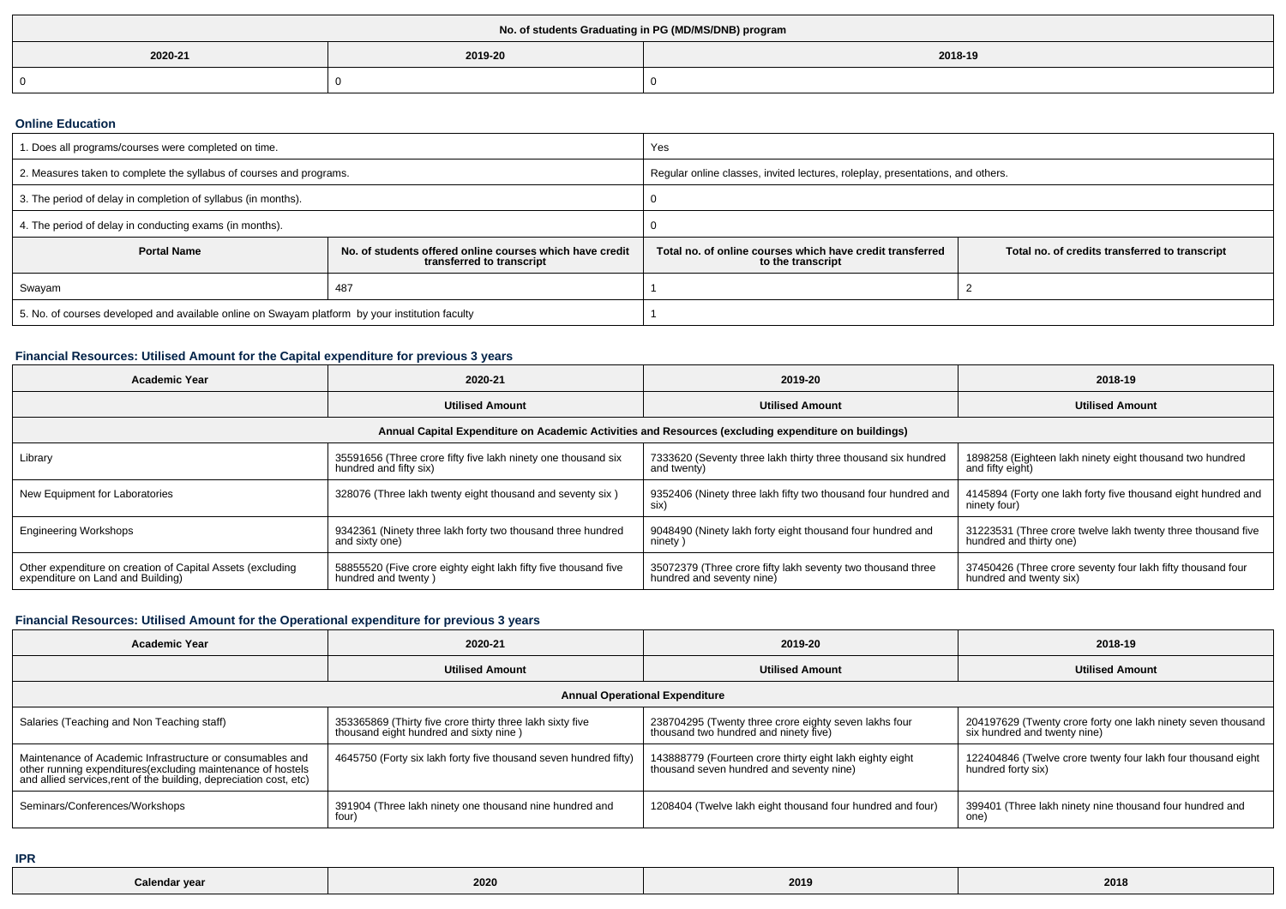| No. of students Graduating in PG (MD/MS/DNB) program |  |  |  |  |  |  |
|------------------------------------------------------|--|--|--|--|--|--|
| 2018-19<br>2019-20<br>2020-21                        |  |  |  |  |  |  |
|                                                      |  |  |  |  |  |  |

#### **Online Education**

| I. Does all programs/courses were completed on time.                                            |                                                                                       | Yes                                                                                                                              |  |  |
|-------------------------------------------------------------------------------------------------|---------------------------------------------------------------------------------------|----------------------------------------------------------------------------------------------------------------------------------|--|--|
| 2. Measures taken to complete the syllabus of courses and programs.                             |                                                                                       | Regular online classes, invited lectures, roleplay, presentations, and others.                                                   |  |  |
| 3. The period of delay in completion of syllabus (in months).                                   |                                                                                       |                                                                                                                                  |  |  |
| 4. The period of delay in conducting exams (in months).                                         |                                                                                       |                                                                                                                                  |  |  |
| <b>Portal Name</b>                                                                              | No. of students offered online courses which have credit<br>transferred to transcript | Total no, of online courses which have credit transferred<br>Total no. of credits transferred to transcript<br>to the transcript |  |  |
| Swayam                                                                                          | 487                                                                                   |                                                                                                                                  |  |  |
| 5. No. of courses developed and available online on Swayam platform by your institution faculty |                                                                                       |                                                                                                                                  |  |  |

## **Financial Resources: Utilised Amount for the Capital expenditure for previous 3 years**

| <b>Academic Year</b>                                                                                 | 2020-21                                                                                 | 2019-20                                                                                  | 2018-19                                                                                 |  |  |  |  |  |
|------------------------------------------------------------------------------------------------------|-----------------------------------------------------------------------------------------|------------------------------------------------------------------------------------------|-----------------------------------------------------------------------------------------|--|--|--|--|--|
|                                                                                                      | <b>Utilised Amount</b>                                                                  | <b>Utilised Amount</b>                                                                   | <b>Utilised Amount</b>                                                                  |  |  |  |  |  |
| Annual Capital Expenditure on Academic Activities and Resources (excluding expenditure on buildings) |                                                                                         |                                                                                          |                                                                                         |  |  |  |  |  |
| Library                                                                                              | 35591656 (Three crore fifty five lakh ninety one thousand six<br>hundred and fifty six) | 7333620 (Seventy three lakh thirty three thousand six hundred<br>and twenty)             | 1898258 (Eighteen lakh ninety eight thousand two hundred<br>and fifty eight)            |  |  |  |  |  |
| New Equipment for Laboratories                                                                       | 328076 (Three lakh twenty eight thousand and seventy six)                               | 9352406 (Ninety three lakh fifty two thousand four hundred and<br>SIX)                   | 4145894 (Forty one lakh forty five thousand eight hundred and<br>ninety four)           |  |  |  |  |  |
| <b>Engineering Workshops</b>                                                                         | 9342361 (Ninety three lakh forty two thousand three hundred<br>and sixty one)           | 9048490 (Ninety lakh forty eight thousand four hundred and<br>ninety)                    | 31223531 (Three crore twelve lakh twenty three thousand five<br>hundred and thirty one) |  |  |  |  |  |
| Other expenditure on creation of Capital Assets (excluding<br>expenditure on Land and Building)      | 58855520 (Five crore eighty eight lakh fifty five thousand five<br>hundred and twenty)  | 35072379 (Three crore fifty lakh seventy two thousand three<br>hundred and seventy nine) | 37450426 (Three crore seventy four lakh fifty thousand four<br>hundred and twenty six)  |  |  |  |  |  |

## **Financial Resources: Utilised Amount for the Operational expenditure for previous 3 years**

| <b>Academic Year</b>                                                                                                                                                                           | 2020-21                                                                                             | 2019-20                                                                                              | 2018-19                                                                                      |  |  |  |  |
|------------------------------------------------------------------------------------------------------------------------------------------------------------------------------------------------|-----------------------------------------------------------------------------------------------------|------------------------------------------------------------------------------------------------------|----------------------------------------------------------------------------------------------|--|--|--|--|
| <b>Utilised Amount</b>                                                                                                                                                                         |                                                                                                     | <b>Utilised Amount</b>                                                                               | <b>Utilised Amount</b>                                                                       |  |  |  |  |
| <b>Annual Operational Expenditure</b>                                                                                                                                                          |                                                                                                     |                                                                                                      |                                                                                              |  |  |  |  |
| Salaries (Teaching and Non Teaching staff)                                                                                                                                                     | 353365869 (Thirty five crore thirty three lakh sixty five<br>thousand eight hundred and sixty nine) | 238704295 (Twenty three crore eighty seven lakhs four<br>thousand two hundred and ninety five)       | 204197629 (Twenty crore forty one lakh ninety seven thousand<br>six hundred and twenty nine) |  |  |  |  |
| Maintenance of Academic Infrastructure or consumables and<br>other running expenditures(excluding maintenance of hostels<br>and allied services, rent of the building, depreciation cost, etc) | 4645750 (Forty six lakh forty five thousand seven hundred fifty)                                    | 143888779 (Fourteen crore thirty eight lakh eighty eight<br>thousand seven hundred and seventy nine) | 122404846 (Twelve crore twenty four lakh four thousand eight<br>hundred forty six)           |  |  |  |  |
| Seminars/Conferences/Workshops                                                                                                                                                                 | 391904 (Three lakh ninety one thousand nine hundred and<br>four)                                    | 1208404 (Twelve lakh eight thousand four hundred and four)                                           | 399401 (Three lakh ninety nine thousand four hundred and<br>one)                             |  |  |  |  |

**IPR**

| Calendar year | 2020 | 2019 | 2018 |
|---------------|------|------|------|
|---------------|------|------|------|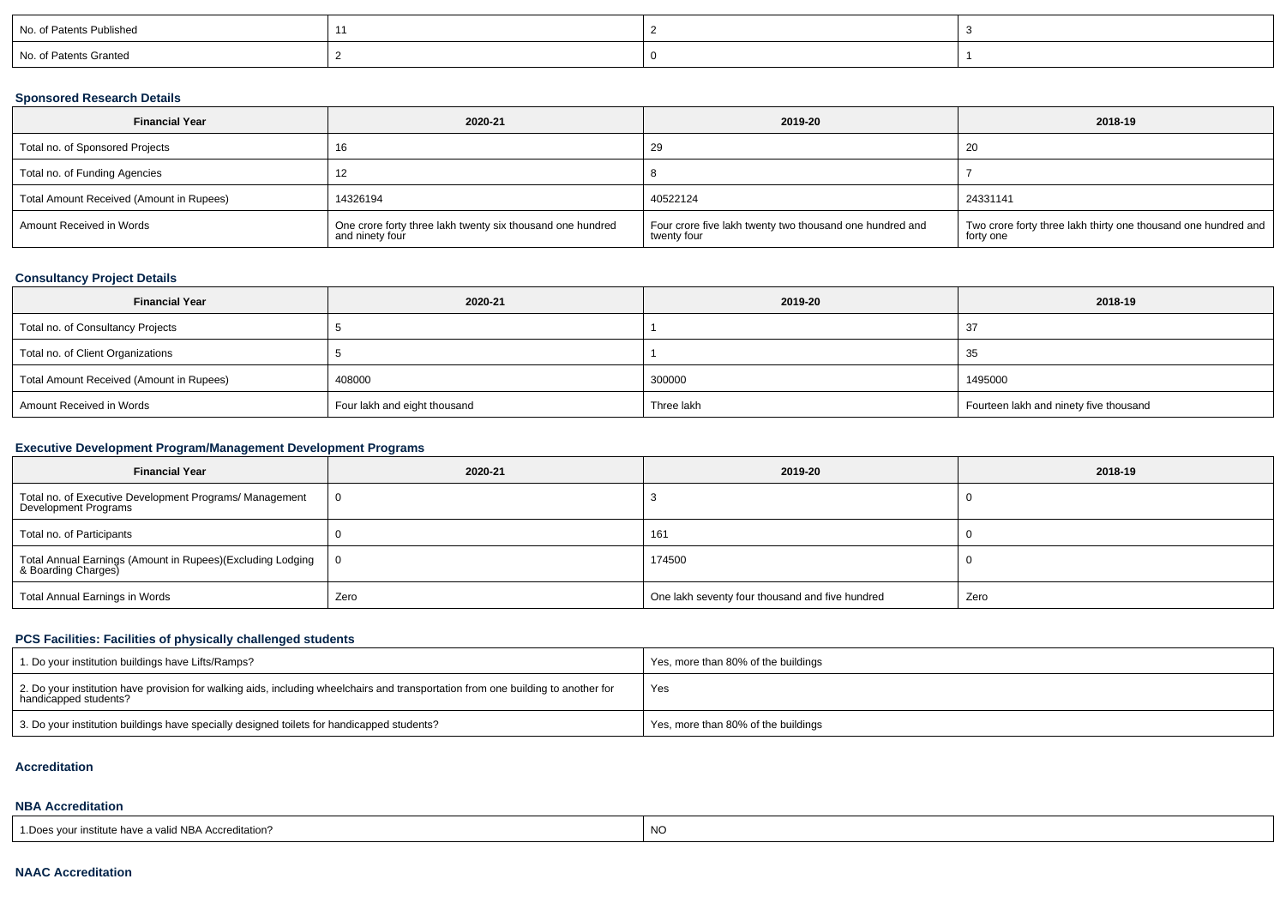| No. of Patents Published |  |  |
|--------------------------|--|--|
| No. of Patents Granted   |  |  |

### **Sponsored Research Details**

| <b>Financial Year</b><br>2020-21         |                                                                               | 2019-20                                                                 | 2018-19                                                                     |  |
|------------------------------------------|-------------------------------------------------------------------------------|-------------------------------------------------------------------------|-----------------------------------------------------------------------------|--|
| Total no. of Sponsored Projects          |                                                                               | 29                                                                      | -20                                                                         |  |
| Total no. of Funding Agencies            |                                                                               |                                                                         |                                                                             |  |
| Total Amount Received (Amount in Rupees) | 14326194                                                                      | 40522124                                                                | 24331141                                                                    |  |
| Amount Received in Words                 | One crore forty three lakh twenty six thousand one hundred<br>and ninety four | Four crore five lakh twenty two thousand one hundred and<br>twenty four | Two crore forty three lakh thirty one thousand one hundred and<br>forty one |  |

## **Consultancy Project Details**

| <b>Financial Year</b>                    | 2020-21                      | 2019-20    | 2018-19                                |  |
|------------------------------------------|------------------------------|------------|----------------------------------------|--|
| Total no. of Consultancy Projects        |                              |            | 37                                     |  |
| Total no. of Client Organizations        |                              |            | -35                                    |  |
| Total Amount Received (Amount in Rupees) | 408000                       | 300000     | 1495000                                |  |
| Amount Received in Words                 | Four lakh and eight thousand | Three lakh | Fourteen lakh and ninety five thousand |  |

## **Executive Development Program/Management Development Programs**

| <b>Financial Year</b>                                                             | 2020-21 | 2019-20                                         | 2018-19 |
|-----------------------------------------------------------------------------------|---------|-------------------------------------------------|---------|
| Total no. of Executive Development Programs/ Management<br>Development Programs   |         |                                                 |         |
| Total no. of Participants                                                         |         | 161                                             |         |
| Total Annual Earnings (Amount in Rupees)(Excluding Lodging<br>& Boarding Charges) |         | 174500                                          |         |
| Total Annual Earnings in Words                                                    | Zero    | One lakh seventy four thousand and five hundred | Zero    |

## **PCS Facilities: Facilities of physically challenged students**

| 1. Do your institution buildings have Lifts/Ramps?                                                                                                         | Yes, more than 80% of the buildings |
|------------------------------------------------------------------------------------------------------------------------------------------------------------|-------------------------------------|
| 2. Do your institution have provision for walking aids, including wheelchairs and transportation from one building to another for<br>handicapped students? | Yes                                 |
| 3. Do your institution buildings have specially designed toilets for handicapped students?                                                                 | Yes, more than 80% of the buildings |

#### **Accreditation**

# **NBA Accreditation**

| 1. Does your institute have a valid NBA Accreditation? | -NH |
|--------------------------------------------------------|-----|
|--------------------------------------------------------|-----|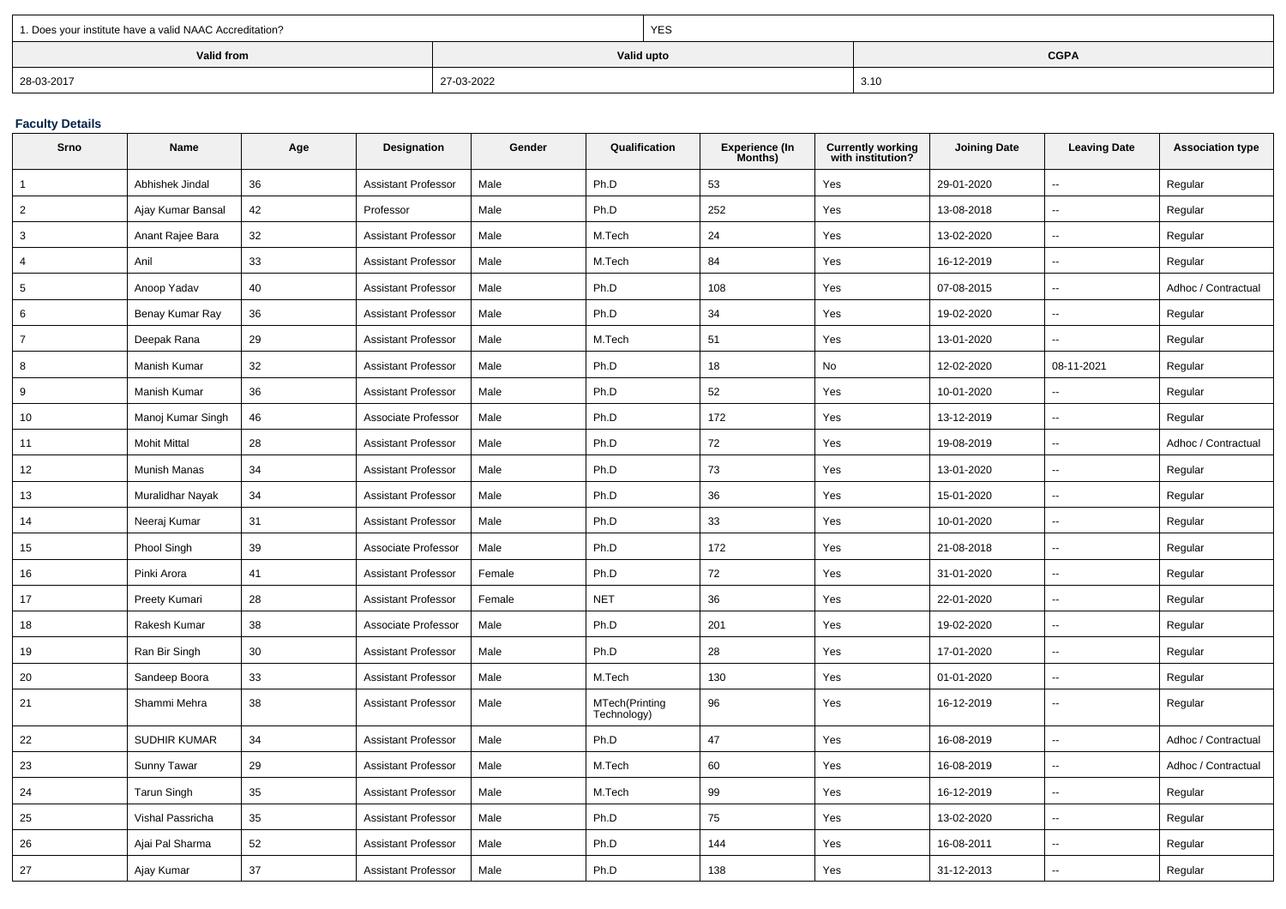| 1. Does your institute have a valid NAAC Accreditation? |            | <b>YES</b> |             |  |
|---------------------------------------------------------|------------|------------|-------------|--|
| Valid from                                              |            | Valid upto | <b>CGPA</b> |  |
| 28-03-2017                                              | 27-03-2022 |            | 3.10        |  |

### **Faculty Details**

| Srno           | Name                | Age | Designation                | Gender | Qualification                 | <b>Experience (In</b><br>Months) | <b>Currently working</b><br>with institution? | <b>Joining Date</b> | <b>Leaving Date</b>      | <b>Association type</b> |
|----------------|---------------------|-----|----------------------------|--------|-------------------------------|----------------------------------|-----------------------------------------------|---------------------|--------------------------|-------------------------|
|                | Abhishek Jindal     | 36  | <b>Assistant Professor</b> | Male   | Ph.D                          | 53                               | Yes                                           | 29-01-2020          | $\sim$                   | Regular                 |
| $\overline{2}$ | Ajay Kumar Bansal   | 42  | Professor                  | Male   | Ph.D                          | 252                              | Yes                                           | 13-08-2018          | $\overline{\phantom{a}}$ | Regular                 |
| 3              | Anant Rajee Bara    | 32  | <b>Assistant Professor</b> | Male   | M.Tech                        | 24                               | Yes                                           | 13-02-2020          | $\mathbf{u}$             | Regular                 |
| $\overline{4}$ | Anil                | 33  | <b>Assistant Professor</b> | Male   | M.Tech                        | 84                               | Yes                                           | 16-12-2019          | $\sim$                   | Regular                 |
| 5              | Anoop Yadav         | 40  | <b>Assistant Professor</b> | Male   | Ph.D                          | 108                              | Yes                                           | 07-08-2015          |                          | Adhoc / Contractual     |
| 6              | Benay Kumar Ray     | 36  | <b>Assistant Professor</b> | Male   | Ph.D                          | 34                               | Yes                                           | 19-02-2020          |                          | Regular                 |
| $\overline{7}$ | Deepak Rana         | 29  | <b>Assistant Professor</b> | Male   | M.Tech                        | 51                               | Yes                                           | 13-01-2020          | $\sim$                   | Regular                 |
| 8              | Manish Kumar        | 32  | <b>Assistant Professor</b> | Male   | Ph.D                          | 18                               | No                                            | 12-02-2020          | 08-11-2021               | Regular                 |
| 9              | Manish Kumar        | 36  | <b>Assistant Professor</b> | Male   | Ph.D                          | 52                               | Yes                                           | 10-01-2020          |                          | Regular                 |
| 10             | Manoj Kumar Singh   | 46  | Associate Professor        | Male   | Ph.D                          | 172                              | Yes                                           | 13-12-2019          | $\sim$                   | Regular                 |
| 11             | <b>Mohit Mittal</b> | 28  | <b>Assistant Professor</b> | Male   | Ph.D                          | 72                               | Yes                                           | 19-08-2019          |                          | Adhoc / Contractual     |
| 12             | Munish Manas        | 34  | <b>Assistant Professor</b> | Male   | Ph.D                          | 73                               | Yes                                           | 13-01-2020          | $\sim$                   | Regular                 |
| 13             | Muralidhar Nayak    | 34  | <b>Assistant Professor</b> | Male   | Ph.D                          | 36                               | Yes                                           | 15-01-2020          | $\ddotsc$                | Regular                 |
| 14             | Neeraj Kumar        | 31  | <b>Assistant Professor</b> | Male   | Ph.D                          | 33                               | Yes                                           | 10-01-2020          | $\sim$                   | Regular                 |
| 15             | Phool Singh         | 39  | Associate Professor        | Male   | Ph.D                          | 172                              | Yes                                           | 21-08-2018          | $\mathbf{u}$             | Regular                 |
| 16             | Pinki Arora         | 41  | <b>Assistant Professor</b> | Female | Ph.D                          | 72                               | Yes                                           | 31-01-2020          | $\sim$                   | Regular                 |
| 17             | Preety Kumari       | 28  | <b>Assistant Professor</b> | Female | <b>NET</b>                    | 36                               | Yes                                           | 22-01-2020          | ÷.                       | Regular                 |
| 18             | Rakesh Kumar        | 38  | Associate Professor        | Male   | Ph.D                          | 201                              | Yes                                           | 19-02-2020          |                          | Regular                 |
| 19             | Ran Bir Singh       | 30  | <b>Assistant Professor</b> | Male   | Ph.D                          | 28                               | Yes                                           | 17-01-2020          | $\sim$                   | Regular                 |
| 20             | Sandeep Boora       | 33  | <b>Assistant Professor</b> | Male   | M.Tech                        | 130                              | Yes                                           | 01-01-2020          | $\sim$                   | Regular                 |
| 21             | Shammi Mehra        | 38  | <b>Assistant Professor</b> | Male   | MTech(Printing<br>Technology) | 96                               | Yes                                           | 16-12-2019          | $\overline{a}$           | Regular                 |
| 22             | <b>SUDHIR KUMAR</b> | 34  | <b>Assistant Professor</b> | Male   | Ph.D                          | 47                               | Yes                                           | 16-08-2019          | $\sim$                   | Adhoc / Contractual     |
| 23             | Sunny Tawar         | 29  | <b>Assistant Professor</b> | Male   | M.Tech                        | 60                               | Yes                                           | 16-08-2019          | $\overline{\phantom{a}}$ | Adhoc / Contractual     |
| 24             | Tarun Singh         | 35  | <b>Assistant Professor</b> | Male   | M.Tech                        | 99                               | Yes                                           | 16-12-2019          | $\overline{\phantom{a}}$ | Regular                 |
| 25             | Vishal Passricha    | 35  | <b>Assistant Professor</b> | Male   | Ph.D                          | 75                               | Yes                                           | 13-02-2020          | $\mathbf{u}$             | Regular                 |
| 26             | Ajai Pal Sharma     | 52  | <b>Assistant Professor</b> | Male   | Ph.D                          | 144                              | Yes                                           | 16-08-2011          | $\overline{a}$           | Regular                 |
| 27             | Ajay Kumar          | 37  | <b>Assistant Professor</b> | Male   | Ph.D                          | 138                              | Yes                                           | 31-12-2013          | $\overline{a}$           | Regular                 |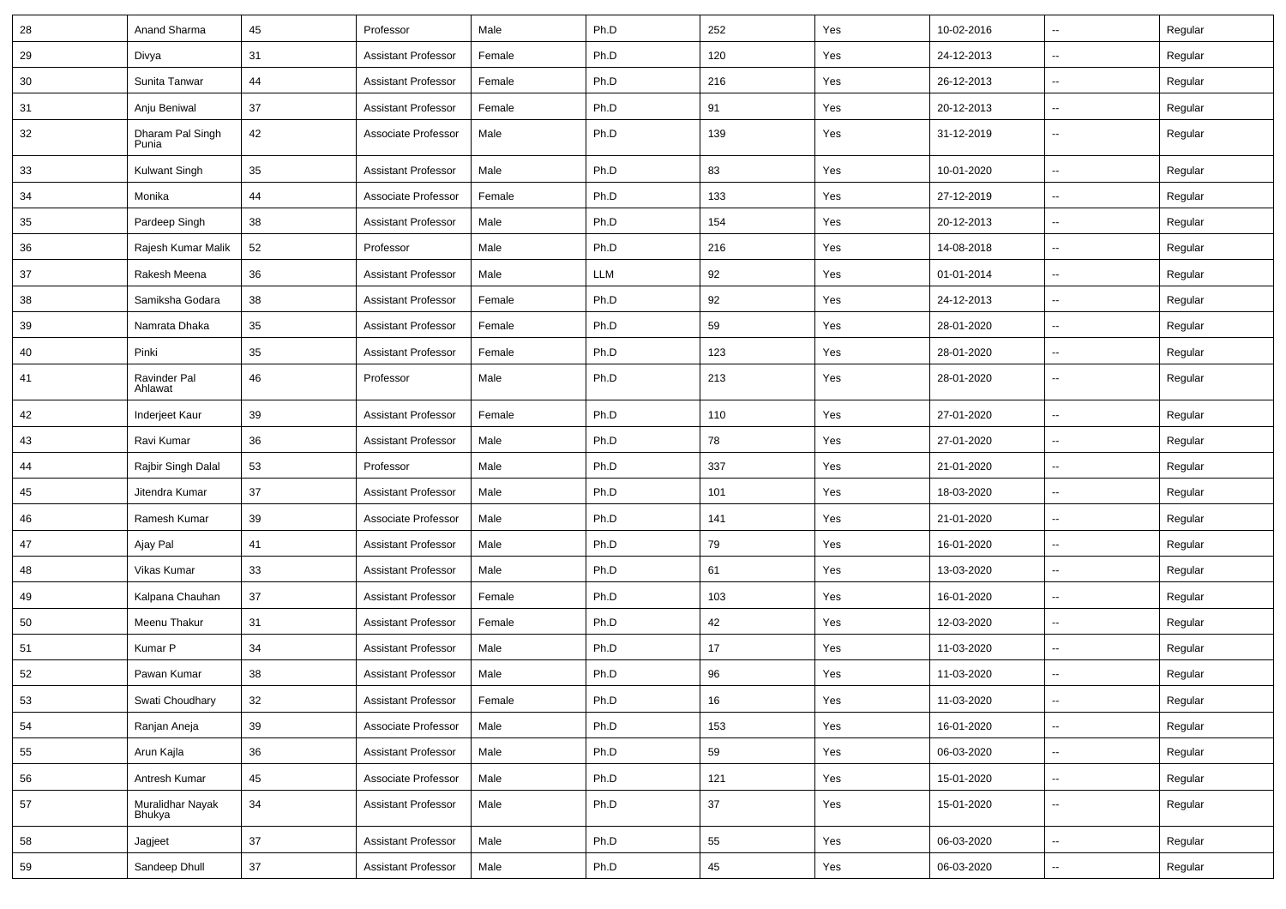| 28 | Anand Sharma               | 45     | Professor                  | Male   | Ph.D | 252 | Yes | 10-02-2016 | $\sim$                   | Regular |
|----|----------------------------|--------|----------------------------|--------|------|-----|-----|------------|--------------------------|---------|
| 29 | Divya                      | 31     | <b>Assistant Professor</b> | Female | Ph.D | 120 | Yes | 24-12-2013 | $\sim$                   | Regular |
| 30 | Sunita Tanwar              | 44     | <b>Assistant Professor</b> | Female | Ph.D | 216 | Yes | 26-12-2013 | $\overline{\phantom{a}}$ | Regular |
| 31 | Anju Beniwal               | 37     | <b>Assistant Professor</b> | Female | Ph.D | 91  | Yes | 20-12-2013 | $\overline{\phantom{a}}$ | Regular |
| 32 | Dharam Pal Singh<br>Punia  | 42     | Associate Professor        | Male   | Ph.D | 139 | Yes | 31-12-2019 | н.                       | Regular |
| 33 | Kulwant Singh              | 35     | <b>Assistant Professor</b> | Male   | Ph.D | 83  | Yes | 10-01-2020 | -−                       | Regular |
| 34 | Monika                     | 44     | Associate Professor        | Female | Ph.D | 133 | Yes | 27-12-2019 | Ξ.                       | Regular |
| 35 | Pardeep Singh              | 38     | <b>Assistant Professor</b> | Male   | Ph.D | 154 | Yes | 20-12-2013 | $\sim$                   | Regular |
| 36 | Rajesh Kumar Malik         | 52     | Professor                  | Male   | Ph.D | 216 | Yes | 14-08-2018 | --                       | Regular |
| 37 | Rakesh Meena               | 36     | <b>Assistant Professor</b> | Male   | LLM  | 92  | Yes | 01-01-2014 | $\sim$                   | Regular |
| 38 | Samiksha Godara            | 38     | <b>Assistant Professor</b> | Female | Ph.D | 92  | Yes | 24-12-2013 | −−                       | Regular |
| 39 | Namrata Dhaka              | 35     | <b>Assistant Professor</b> | Female | Ph.D | 59  | Yes | 28-01-2020 | -−                       | Regular |
| 40 | Pinki                      | 35     | <b>Assistant Professor</b> | Female | Ph.D | 123 | Yes | 28-01-2020 | $\sim$                   | Regular |
| 41 | Ravinder Pal<br>Ahlawat    | 46     | Professor                  | Male   | Ph.D | 213 | Yes | 28-01-2020 | $\overline{\phantom{a}}$ | Regular |
| 42 | Inderjeet Kaur             | 39     | <b>Assistant Professor</b> | Female | Ph.D | 110 | Yes | 27-01-2020 | $\overline{\phantom{a}}$ | Regular |
| 43 | Ravi Kumar                 | 36     | <b>Assistant Professor</b> | Male   | Ph.D | 78  | Yes | 27-01-2020 | $\sim$                   | Regular |
| 44 | Rajbir Singh Dalal         | 53     | Professor                  | Male   | Ph.D | 337 | Yes | 21-01-2020 | $\overline{\phantom{a}}$ | Regular |
| 45 | Jitendra Kumar             | 37     | <b>Assistant Professor</b> | Male   | Ph.D | 101 | Yes | 18-03-2020 | $\overline{\phantom{a}}$ | Regular |
| 46 | Ramesh Kumar               | 39     | Associate Professor        | Male   | Ph.D | 141 | Yes | 21-01-2020 | $\overline{\phantom{a}}$ | Regular |
| 47 | Ajay Pal                   | 41     | <b>Assistant Professor</b> | Male   | Ph.D | 79  | Yes | 16-01-2020 | Ξ.                       | Regular |
| 48 | Vikas Kumar                | 33     | <b>Assistant Professor</b> | Male   | Ph.D | 61  | Yes | 13-03-2020 | $\overline{\phantom{a}}$ | Regular |
| 49 | Kalpana Chauhan            | 37     | <b>Assistant Professor</b> | Female | Ph.D | 103 | Yes | 16-01-2020 | $\sim$                   | Regular |
| 50 | Meenu Thakur               | 31     | <b>Assistant Professor</b> | Female | Ph.D | 42  | Yes | 12-03-2020 | $\overline{\phantom{a}}$ | Regular |
| 51 | Kumar P                    | 34     | <b>Assistant Professor</b> | Male   | Ph.D | 17  | Yes | 11-03-2020 | $\overline{\phantom{a}}$ | Regular |
| 52 | Pawan Kumar                | 38     | <b>Assistant Professor</b> | Male   | Ph.D | 96  | Yes | 11-03-2020 | -−                       | Regular |
| 53 | Swati Choudhary            | 32     | <b>Assistant Professor</b> | Female | Ph.D | 16  | Yes | 11-03-2020 |                          | Regular |
| 54 | Ranjan Aneja               | 39     | Associate Professor        | Male   | Ph.D | 153 | Yes | 16-01-2020 | $\sim$                   | Regular |
| 55 | Arun Kajla                 | 36     | <b>Assistant Professor</b> | Male   | Ph.D | 59  | Yes | 06-03-2020 | щ.                       | Regular |
| 56 | Antresh Kumar              | 45     | Associate Professor        | Male   | Ph.D | 121 | Yes | 15-01-2020 | Щ,                       | Regular |
| 57 | Muralidhar Nayak<br>Bhukya | 34     | <b>Assistant Professor</b> | Male   | Ph.D | 37  | Yes | 15-01-2020 | $\overline{\phantom{a}}$ | Regular |
| 58 | Jagjeet                    | $37\,$ | <b>Assistant Professor</b> | Male   | Ph.D | 55  | Yes | 06-03-2020 | $\overline{\phantom{a}}$ | Regular |
| 59 | Sandeep Dhull              | 37     | <b>Assistant Professor</b> | Male   | Ph.D | 45  | Yes | 06-03-2020 | н,                       | Regular |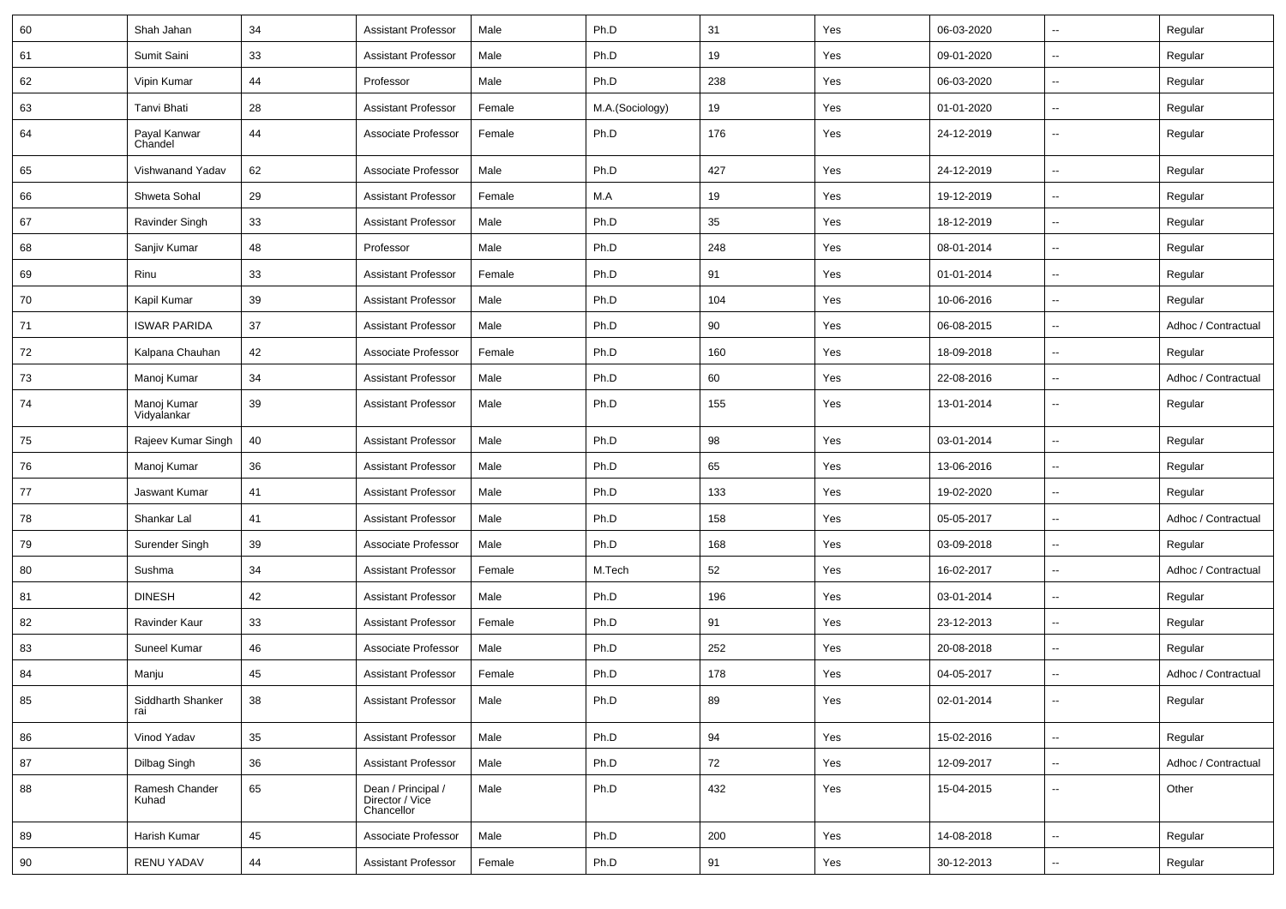| 60 | Shah Jahan                 | 34 | <b>Assistant Professor</b>                          | Male   | Ph.D            | 31  | Yes | 06-03-2020 | $\overline{\phantom{a}}$ | Regular             |
|----|----------------------------|----|-----------------------------------------------------|--------|-----------------|-----|-----|------------|--------------------------|---------------------|
| 61 | Sumit Saini                | 33 | <b>Assistant Professor</b>                          | Male   | Ph.D            | 19  | Yes | 09-01-2020 | $\overline{\phantom{a}}$ | Regular             |
| 62 | Vipin Kumar                | 44 | Professor                                           | Male   | Ph.D            | 238 | Yes | 06-03-2020 | $\overline{\phantom{a}}$ | Regular             |
| 63 | Tanvi Bhati                | 28 | <b>Assistant Professor</b>                          | Female | M.A.(Sociology) | 19  | Yes | 01-01-2020 | --                       | Regular             |
| 64 | Payal Kanwar<br>Chandel    | 44 | Associate Professor                                 | Female | Ph.D            | 176 | Yes | 24-12-2019 | $\overline{\phantom{a}}$ | Regular             |
| 65 | Vishwanand Yadav           | 62 | Associate Professor                                 | Male   | Ph.D            | 427 | Yes | 24-12-2019 | ц.                       | Regular             |
| 66 | Shweta Sohal               | 29 | <b>Assistant Professor</b>                          | Female | M.A             | 19  | Yes | 19-12-2019 | Щ,                       | Regular             |
| 67 | Ravinder Singh             | 33 | <b>Assistant Professor</b>                          | Male   | Ph.D            | 35  | Yes | 18-12-2019 | --                       | Regular             |
| 68 | Sanjiv Kumar               | 48 | Professor                                           | Male   | Ph.D            | 248 | Yes | 08-01-2014 | Щ,                       | Regular             |
| 69 | Rinu                       | 33 | <b>Assistant Professor</b>                          | Female | Ph.D            | 91  | Yes | 01-01-2014 | Ξ.                       | Regular             |
| 70 | Kapil Kumar                | 39 | <b>Assistant Professor</b>                          | Male   | Ph.D            | 104 | Yes | 10-06-2016 | --                       | Regular             |
| 71 | <b>ISWAR PARIDA</b>        | 37 | <b>Assistant Professor</b>                          | Male   | Ph.D            | 90  | Yes | 06-08-2015 | $\overline{\phantom{a}}$ | Adhoc / Contractual |
| 72 | Kalpana Chauhan            | 42 | Associate Professor                                 | Female | Ph.D            | 160 | Yes | 18-09-2018 | Ξ.                       | Regular             |
| 73 | Manoj Kumar                | 34 | <b>Assistant Professor</b>                          | Male   | Ph.D            | 60  | Yes | 22-08-2016 | $\overline{\phantom{a}}$ | Adhoc / Contractual |
| 74 | Manoj Kumar<br>Vidyalankar | 39 | <b>Assistant Professor</b>                          | Male   | Ph.D            | 155 | Yes | 13-01-2014 | $\overline{\phantom{a}}$ | Regular             |
| 75 | Rajeev Kumar Singh         | 40 | <b>Assistant Professor</b>                          | Male   | Ph.D            | 98  | Yes | 03-01-2014 | Щ,                       | Regular             |
| 76 | Manoj Kumar                | 36 | <b>Assistant Professor</b>                          | Male   | Ph.D            | 65  | Yes | 13-06-2016 | $\overline{\phantom{a}}$ | Regular             |
| 77 | Jaswant Kumar              | 41 | <b>Assistant Professor</b>                          | Male   | Ph.D            | 133 | Yes | 19-02-2020 | $\overline{\phantom{a}}$ | Regular             |
| 78 | Shankar Lal                | 41 | <b>Assistant Professor</b>                          | Male   | Ph.D            | 158 | Yes | 05-05-2017 | $\overline{\phantom{a}}$ | Adhoc / Contractual |
| 79 | Surender Singh             | 39 | Associate Professor                                 | Male   | Ph.D            | 168 | Yes | 03-09-2018 | Ξ.                       | Regular             |
| 80 | Sushma                     | 34 | <b>Assistant Professor</b>                          | Female | M.Tech          | 52  | Yes | 16-02-2017 | Щ,                       | Adhoc / Contractual |
| 81 | <b>DINESH</b>              | 42 | <b>Assistant Professor</b>                          | Male   | Ph.D            | 196 | Yes | 03-01-2014 | $\overline{\phantom{a}}$ | Regular             |
| 82 | Ravinder Kaur              | 33 | <b>Assistant Professor</b>                          | Female | Ph.D            | 91  | Yes | 23-12-2013 | Щ,                       | Regular             |
| 83 | Suneel Kumar               | 46 | Associate Professor                                 | Male   | Ph.D            | 252 | Yes | 20-08-2018 | $\overline{\phantom{a}}$ | Regular             |
| 84 | Manju                      | 45 | <b>Assistant Professor</b>                          | Female | Ph.D            | 178 | Yes | 04-05-2017 | $\overline{\phantom{a}}$ | Adhoc / Contractual |
| 85 | Siddharth Shanker<br>rai   | 38 | <b>Assistant Professor</b>                          | Male   | Ph.D            | 89  | Yes | 02-01-2014 |                          | Regular             |
| 86 | Vinod Yadav                | 35 | <b>Assistant Professor</b>                          | Male   | Ph.D            | 94  | Yes | 15-02-2016 | ц.                       | Regular             |
| 87 | Dilbag Singh               | 36 | Assistant Professor                                 | Male   | Ph.D            | 72  | Yes | 12-09-2017 | $\overline{\phantom{a}}$ | Adhoc / Contractual |
| 88 | Ramesh Chander<br>Kuhad    | 65 | Dean / Principal /<br>Director / Vice<br>Chancellor | Male   | Ph.D            | 432 | Yes | 15-04-2015 | Щ,                       | Other               |
| 89 | Harish Kumar               | 45 | Associate Professor                                 | Male   | Ph.D            | 200 | Yes | 14-08-2018 | $\overline{\phantom{a}}$ | Regular             |
| 90 | RENU YADAV                 | 44 | <b>Assistant Professor</b>                          | Female | Ph.D            | 91  | Yes | 30-12-2013 | н,                       | Regular             |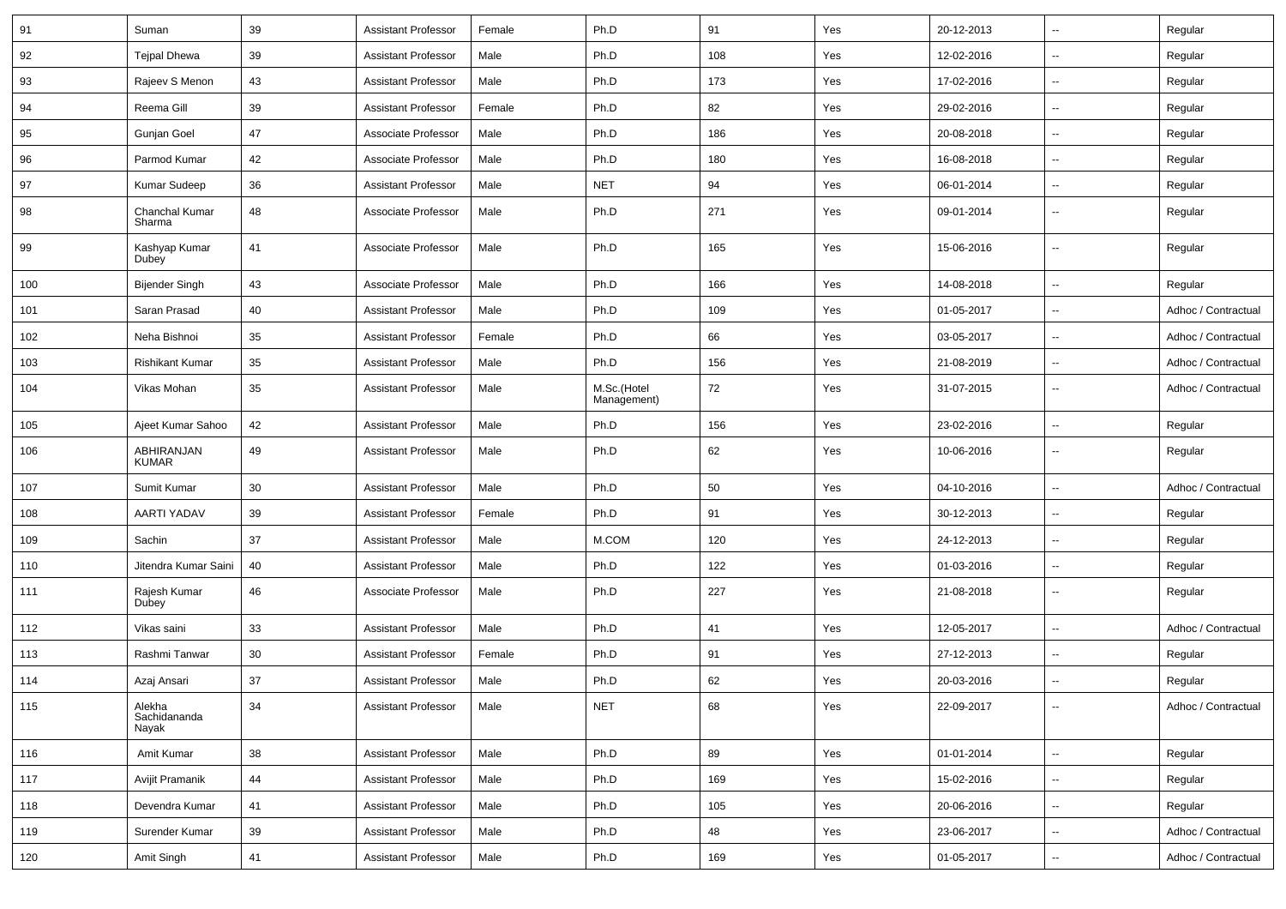| 91  | Suman                           | 39 | <b>Assistant Professor</b> | Female | Ph.D                       | 91  | Yes | 20-12-2013 | $\overline{\phantom{a}}$ | Regular             |
|-----|---------------------------------|----|----------------------------|--------|----------------------------|-----|-----|------------|--------------------------|---------------------|
| 92  | <b>Tejpal Dhewa</b>             | 39 | <b>Assistant Professor</b> | Male   | Ph.D                       | 108 | Yes | 12-02-2016 | ⊷.                       | Regular             |
| 93  | Rajeev S Menon                  | 43 | <b>Assistant Professor</b> | Male   | Ph.D                       | 173 | Yes | 17-02-2016 | $\overline{\phantom{a}}$ | Regular             |
| 94  | Reema Gill                      | 39 | <b>Assistant Professor</b> | Female | Ph.D                       | 82  | Yes | 29-02-2016 | --                       | Regular             |
| 95  | Gunjan Goel                     | 47 | Associate Professor        | Male   | Ph.D                       | 186 | Yes | 20-08-2018 | --                       | Regular             |
| 96  | Parmod Kumar                    | 42 | Associate Professor        | Male   | Ph.D                       | 180 | Yes | 16-08-2018 | $\overline{\phantom{a}}$ | Regular             |
| 97  | Kumar Sudeep                    | 36 | <b>Assistant Professor</b> | Male   | <b>NET</b>                 | 94  | Yes | 06-01-2014 | $\overline{\phantom{a}}$ | Regular             |
| 98  | Chanchal Kumar<br>Sharma        | 48 | Associate Professor        | Male   | Ph.D                       | 271 | Yes | 09-01-2014 | $\overline{\phantom{a}}$ | Regular             |
| 99  | Kashyap Kumar<br>Dubey          | 41 | Associate Professor        | Male   | Ph.D                       | 165 | Yes | 15-06-2016 | $\overline{\phantom{a}}$ | Regular             |
| 100 | Bijender Singh                  | 43 | Associate Professor        | Male   | Ph.D                       | 166 | Yes | 14-08-2018 | $\overline{\phantom{a}}$ | Regular             |
| 101 | Saran Prasad                    | 40 | <b>Assistant Professor</b> | Male   | Ph.D                       | 109 | Yes | 01-05-2017 | $\overline{a}$           | Adhoc / Contractual |
| 102 | Neha Bishnoi                    | 35 | <b>Assistant Professor</b> | Female | Ph.D                       | 66  | Yes | 03-05-2017 | --                       | Adhoc / Contractual |
| 103 | <b>Rishikant Kumar</b>          | 35 | <b>Assistant Professor</b> | Male   | Ph.D                       | 156 | Yes | 21-08-2019 | --                       | Adhoc / Contractual |
| 104 | Vikas Mohan                     | 35 | <b>Assistant Professor</b> | Male   | M.Sc.(Hotel<br>Management) | 72  | Yes | 31-07-2015 | $\overline{\phantom{a}}$ | Adhoc / Contractual |
| 105 | Ajeet Kumar Sahoo               | 42 | <b>Assistant Professor</b> | Male   | Ph.D                       | 156 | Yes | 23-02-2016 | $\overline{\phantom{a}}$ | Regular             |
| 106 | ABHIRANJAN<br><b>KUMAR</b>      | 49 | <b>Assistant Professor</b> | Male   | Ph.D                       | 62  | Yes | 10-06-2016 | $\overline{\phantom{a}}$ | Regular             |
| 107 | Sumit Kumar                     | 30 | <b>Assistant Professor</b> | Male   | Ph.D                       | 50  | Yes | 04-10-2016 | $\overline{\phantom{a}}$ | Adhoc / Contractual |
| 108 | AARTI YADAV                     | 39 | <b>Assistant Professor</b> | Female | Ph.D                       | 91  | Yes | 30-12-2013 | ⊷.                       | Regular             |
| 109 | Sachin                          | 37 | <b>Assistant Professor</b> | Male   | M.COM                      | 120 | Yes | 24-12-2013 | --                       | Regular             |
| 110 | Jitendra Kumar Saini            | 40 | <b>Assistant Professor</b> | Male   | Ph.D                       | 122 | Yes | 01-03-2016 | --                       | Regular             |
| 111 | Rajesh Kumar<br>Dubey           | 46 | Associate Professor        | Male   | Ph.D                       | 227 | Yes | 21-08-2018 | --                       | Regular             |
| 112 | Vikas saini                     | 33 | <b>Assistant Professor</b> | Male   | Ph.D                       | 41  | Yes | 12-05-2017 | --                       | Adhoc / Contractual |
| 113 | Rashmi Tanwar                   | 30 | <b>Assistant Professor</b> | Female | Ph.D                       | 91  | Yes | 27-12-2013 | --                       | Regular             |
| 114 | Azaj Ansari                     | 37 | <b>Assistant Professor</b> | Male   | Ph.D                       | 62  | Yes | 20-03-2016 | $\overline{\phantom{a}}$ | Regular             |
| 115 | Alekha<br>Sachidananda<br>Nayak | 34 | <b>Assistant Professor</b> | Male   | <b>NET</b>                 | 68  | Yes | 22-09-2017 | $\overline{\phantom{a}}$ | Adhoc / Contractual |
| 116 | Amit Kumar                      | 38 | <b>Assistant Professor</b> | Male   | Ph.D                       | 89  | Yes | 01-01-2014 | $\sim$                   | Regular             |
| 117 | Avijit Pramanik                 | 44 | <b>Assistant Professor</b> | Male   | Ph.D                       | 169 | Yes | 15-02-2016 | $\sim$                   | Regular             |
| 118 | Devendra Kumar                  | 41 | <b>Assistant Professor</b> | Male   | Ph.D                       | 105 | Yes | 20-06-2016 | $\sim$                   | Regular             |
| 119 | Surender Kumar                  | 39 | <b>Assistant Professor</b> | Male   | Ph.D                       | 48  | Yes | 23-06-2017 | $\overline{\phantom{a}}$ | Adhoc / Contractual |
| 120 | Amit Singh                      | 41 | <b>Assistant Professor</b> | Male   | Ph.D                       | 169 | Yes | 01-05-2017 | н.                       | Adhoc / Contractual |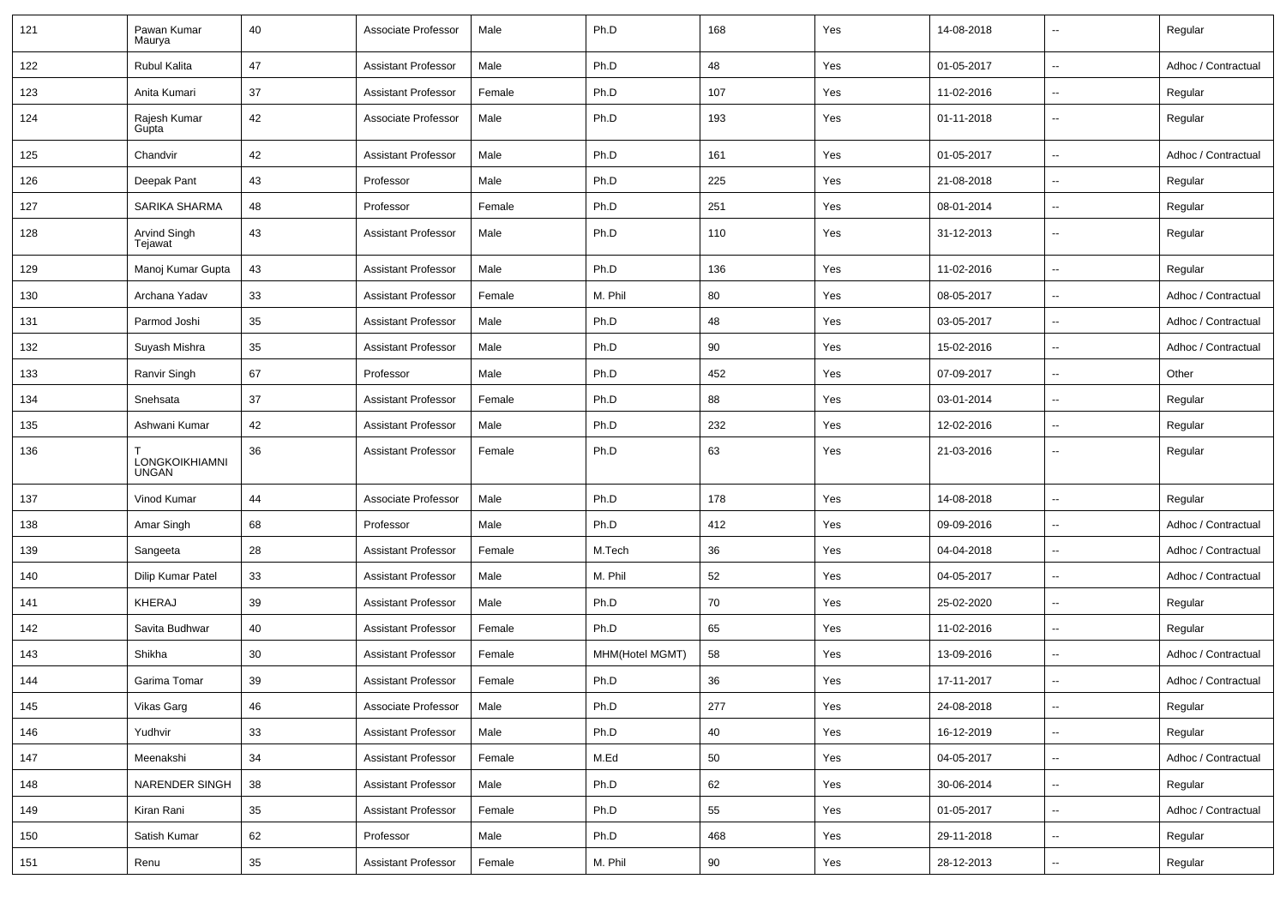| 121 | Pawan Kumar<br>Maurya          | 40 | Associate Professor        | Male   | Ph.D            | 168 | Yes | 14-08-2018 | $\overline{\phantom{a}}$ | Regular             |
|-----|--------------------------------|----|----------------------------|--------|-----------------|-----|-----|------------|--------------------------|---------------------|
| 122 | Rubul Kalita                   | 47 | <b>Assistant Professor</b> | Male   | Ph.D            | 48  | Yes | 01-05-2017 | $\sim$                   | Adhoc / Contractual |
| 123 | Anita Kumari                   | 37 | <b>Assistant Professor</b> | Female | Ph.D            | 107 | Yes | 11-02-2016 | $\overline{\phantom{a}}$ | Regular             |
| 124 | Rajesh Kumar<br>Gupta          | 42 | Associate Professor        | Male   | Ph.D            | 193 | Yes | 01-11-2018 | $\sim$                   | Regular             |
| 125 | Chandvir                       | 42 | <b>Assistant Professor</b> | Male   | Ph.D            | 161 | Yes | 01-05-2017 | $\sim$                   | Adhoc / Contractual |
| 126 | Deepak Pant                    | 43 | Professor                  | Male   | Ph.D            | 225 | Yes | 21-08-2018 | $\sim$                   | Regular             |
| 127 | SARIKA SHARMA                  | 48 | Professor                  | Female | Ph.D            | 251 | Yes | 08-01-2014 | $\overline{\phantom{a}}$ | Regular             |
| 128 | Arvind Singh<br>Tejawat        | 43 | <b>Assistant Professor</b> | Male   | Ph.D            | 110 | Yes | 31-12-2013 | $\sim$                   | Regular             |
| 129 | Manoj Kumar Gupta              | 43 | <b>Assistant Professor</b> | Male   | Ph.D            | 136 | Yes | 11-02-2016 | $\overline{\phantom{a}}$ | Regular             |
| 130 | Archana Yadav                  | 33 | <b>Assistant Professor</b> | Female | M. Phil         | 80  | Yes | 08-05-2017 | $\overline{\phantom{a}}$ | Adhoc / Contractual |
| 131 | Parmod Joshi                   | 35 | <b>Assistant Professor</b> | Male   | Ph.D            | 48  | Yes | 03-05-2017 | $\overline{\phantom{a}}$ | Adhoc / Contractual |
| 132 | Suyash Mishra                  | 35 | <b>Assistant Professor</b> | Male   | Ph.D            | 90  | Yes | 15-02-2016 | $\sim$                   | Adhoc / Contractual |
| 133 | Ranvir Singh                   | 67 | Professor                  | Male   | Ph.D            | 452 | Yes | 07-09-2017 | $\sim$                   | Other               |
| 134 | Snehsata                       | 37 | <b>Assistant Professor</b> | Female | Ph.D            | 88  | Yes | 03-01-2014 | $\overline{\phantom{a}}$ | Regular             |
| 135 | Ashwani Kumar                  | 42 | <b>Assistant Professor</b> | Male   | Ph.D            | 232 | Yes | 12-02-2016 | $\sim$                   | Regular             |
| 136 | LONGKOIKHIAMNI<br><b>UNGAN</b> | 36 | <b>Assistant Professor</b> | Female | Ph.D            | 63  | Yes | 21-03-2016 | $\sim$                   | Regular             |
| 137 | Vinod Kumar                    | 44 | Associate Professor        | Male   | Ph.D            | 178 | Yes | 14-08-2018 | $\sim$                   | Regular             |
| 138 | Amar Singh                     | 68 | Professor                  | Male   | Ph.D            | 412 | Yes | 09-09-2016 | $\overline{\phantom{a}}$ | Adhoc / Contractual |
| 139 | Sangeeta                       | 28 | <b>Assistant Professor</b> | Female | M.Tech          | 36  | Yes | 04-04-2018 | $\overline{\phantom{a}}$ | Adhoc / Contractual |
| 140 | Dilip Kumar Patel              | 33 | <b>Assistant Professor</b> | Male   | M. Phil         | 52  | Yes | 04-05-2017 | $\sim$                   | Adhoc / Contractual |
| 141 | KHERAJ                         | 39 | <b>Assistant Professor</b> | Male   | Ph.D            | 70  | Yes | 25-02-2020 | $\sim$                   | Regular             |
| 142 | Savita Budhwar                 | 40 | <b>Assistant Professor</b> | Female | Ph.D            | 65  | Yes | 11-02-2016 | $\overline{\phantom{a}}$ | Regular             |
| 143 | Shikha                         | 30 | <b>Assistant Professor</b> | Female | MHM(Hotel MGMT) | 58  | Yes | 13-09-2016 | $\overline{\phantom{a}}$ | Adhoc / Contractual |
| 144 | Garima Tomar                   | 39 | <b>Assistant Professor</b> | Female | Ph.D            | 36  | Yes | 17-11-2017 | $\sim$                   | Adhoc / Contractual |
| 145 | Vikas Garg                     | 46 | Associate Professor        | Male   | Ph.D            | 277 | Yes | 24-08-2018 | $\overline{\phantom{a}}$ | Regular             |
| 146 | Yudhvir                        | 33 | Assistant Professor        | Male   | Ph.D            | 40  | Yes | 16-12-2019 | $\overline{\phantom{a}}$ | Regular             |
| 147 | Meenakshi                      | 34 | <b>Assistant Professor</b> | Female | M.Ed            | 50  | Yes | 04-05-2017 | $\sim$                   | Adhoc / Contractual |
| 148 | NARENDER SINGH                 | 38 | <b>Assistant Professor</b> | Male   | Ph.D            | 62  | Yes | 30-06-2014 | $\sim$                   | Regular             |
| 149 | Kiran Rani                     | 35 | <b>Assistant Professor</b> | Female | Ph.D            | 55  | Yes | 01-05-2017 | $\ddot{\phantom{a}}$     | Adhoc / Contractual |
| 150 | Satish Kumar                   | 62 | Professor                  | Male   | Ph.D            | 468 | Yes | 29-11-2018 | $\overline{\phantom{a}}$ | Regular             |
| 151 | Renu                           | 35 | <b>Assistant Professor</b> | Female | M. Phil         | 90  | Yes | 28-12-2013 | $\overline{\phantom{a}}$ | Regular             |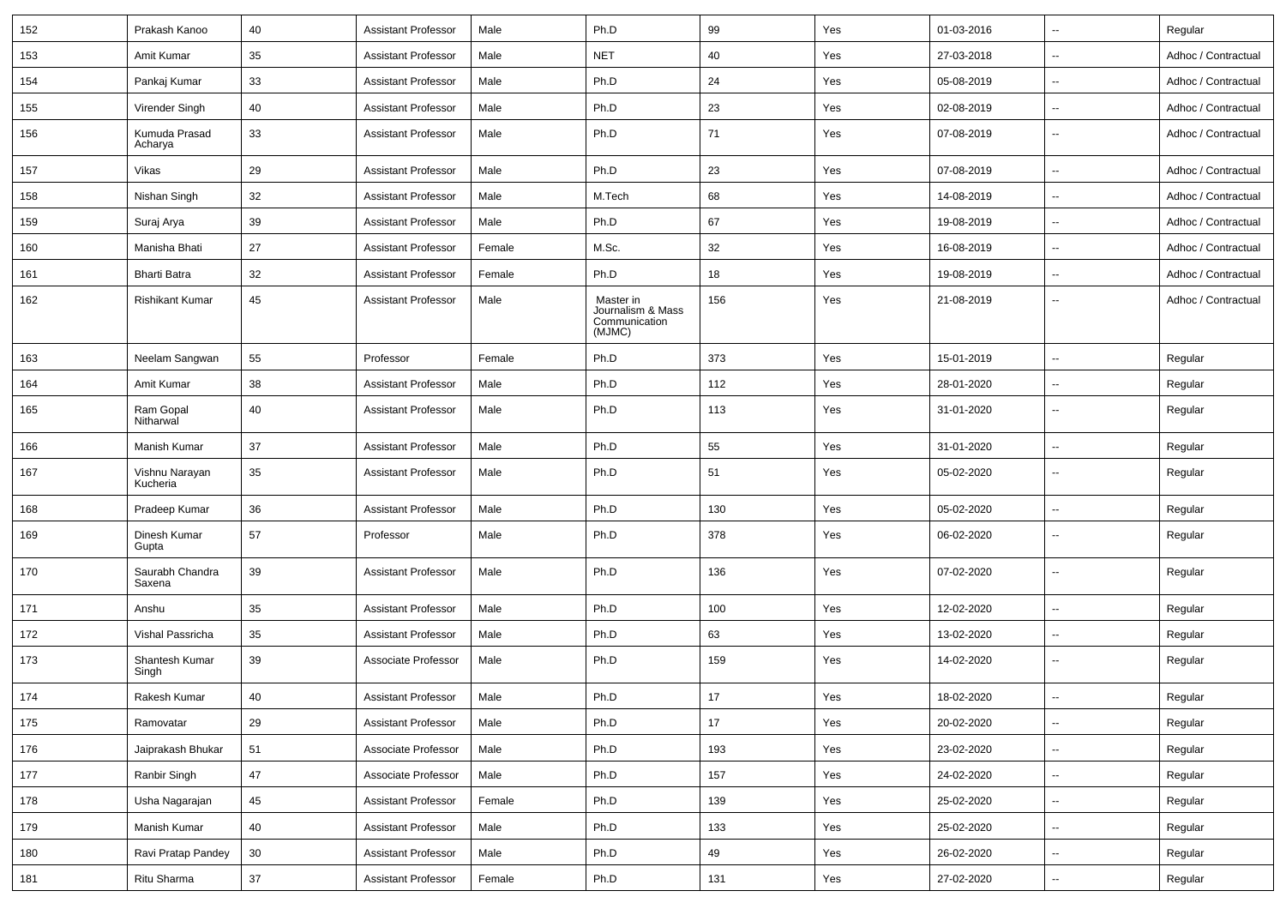| 152 | Prakash Kanoo              | 40 | <b>Assistant Professor</b> | Male   | Ph.D                                                      | 99  | Yes | 01-03-2016 | $\sim$                   | Regular             |
|-----|----------------------------|----|----------------------------|--------|-----------------------------------------------------------|-----|-----|------------|--------------------------|---------------------|
| 153 | Amit Kumar                 | 35 | <b>Assistant Professor</b> | Male   | <b>NET</b>                                                | 40  | Yes | 27-03-2018 | $\sim$                   | Adhoc / Contractual |
| 154 | Pankaj Kumar               | 33 | <b>Assistant Professor</b> | Male   | Ph.D                                                      | 24  | Yes | 05-08-2019 | $\sim$                   | Adhoc / Contractual |
| 155 | Virender Singh             | 40 | <b>Assistant Professor</b> | Male   | Ph.D                                                      | 23  | Yes | 02-08-2019 | $\sim$                   | Adhoc / Contractual |
| 156 | Kumuda Prasad<br>Acharya   | 33 | <b>Assistant Professor</b> | Male   | Ph.D                                                      | 71  | Yes | 07-08-2019 | $\sim$                   | Adhoc / Contractual |
| 157 | Vikas                      | 29 | <b>Assistant Professor</b> | Male   | Ph.D                                                      | 23  | Yes | 07-08-2019 | $\sim$                   | Adhoc / Contractual |
| 158 | Nishan Singh               | 32 | <b>Assistant Professor</b> | Male   | M.Tech                                                    | 68  | Yes | 14-08-2019 | $\overline{\phantom{a}}$ | Adhoc / Contractual |
| 159 | Suraj Arya                 | 39 | <b>Assistant Professor</b> | Male   | Ph.D                                                      | 67  | Yes | 19-08-2019 | $\sim$                   | Adhoc / Contractual |
| 160 | Manisha Bhati              | 27 | <b>Assistant Professor</b> | Female | M.Sc.                                                     | 32  | Yes | 16-08-2019 | $\sim$                   | Adhoc / Contractual |
| 161 | <b>Bharti Batra</b>        | 32 | <b>Assistant Professor</b> | Female | Ph.D                                                      | 18  | Yes | 19-08-2019 | $\sim$                   | Adhoc / Contractual |
| 162 | <b>Rishikant Kumar</b>     | 45 | <b>Assistant Professor</b> | Male   | Master in<br>Journalism & Mass<br>Communication<br>(MJMC) | 156 | Yes | 21-08-2019 | $\sim$                   | Adhoc / Contractual |
| 163 | Neelam Sangwan             | 55 | Professor                  | Female | Ph.D                                                      | 373 | Yes | 15-01-2019 | $\sim$                   | Regular             |
| 164 | Amit Kumar                 | 38 | <b>Assistant Professor</b> | Male   | Ph.D                                                      | 112 | Yes | 28-01-2020 | $\overline{\phantom{a}}$ | Regular             |
| 165 | Ram Gopal<br>Nitharwal     | 40 | <b>Assistant Professor</b> | Male   | Ph.D                                                      | 113 | Yes | 31-01-2020 | $\sim$                   | Regular             |
| 166 | Manish Kumar               | 37 | <b>Assistant Professor</b> | Male   | Ph.D                                                      | 55  | Yes | 31-01-2020 | $\sim$                   | Regular             |
| 167 | Vishnu Narayan<br>Kucheria | 35 | <b>Assistant Professor</b> | Male   | Ph.D                                                      | 51  | Yes | 05-02-2020 | $\sim$                   | Regular             |
| 168 | Pradeep Kumar              | 36 | <b>Assistant Professor</b> | Male   | Ph.D                                                      | 130 | Yes | 05-02-2020 | $\sim$                   | Regular             |
| 169 | Dinesh Kumar<br>Gupta      | 57 | Professor                  | Male   | Ph.D                                                      | 378 | Yes | 06-02-2020 | $\overline{\phantom{a}}$ | Regular             |
| 170 | Saurabh Chandra<br>Saxena  | 39 | <b>Assistant Professor</b> | Male   | Ph.D                                                      | 136 | Yes | 07-02-2020 | $\overline{\phantom{a}}$ | Regular             |
| 171 | Anshu                      | 35 | <b>Assistant Professor</b> | Male   | Ph.D                                                      | 100 | Yes | 12-02-2020 | $\overline{\phantom{a}}$ | Regular             |
| 172 | Vishal Passricha           | 35 | <b>Assistant Professor</b> | Male   | Ph.D                                                      | 63  | Yes | 13-02-2020 | $\sim$                   | Regular             |
| 173 | Shantesh Kumar<br>Singh    | 39 | Associate Professor        | Male   | Ph.D                                                      | 159 | Yes | 14-02-2020 | $\sim$                   | Regular             |
| 174 | Rakesh Kumar               | 40 | Assistant Professor        | Male   | Ph.D                                                      | 17  | Yes | 18-02-2020 | $\overline{\phantom{a}}$ | Regular             |
| 175 | Ramovatar                  | 29 | <b>Assistant Professor</b> | Male   | Ph.D                                                      | 17  | Yes | 20-02-2020 | $\sim$                   | Regular             |
| 176 | Jaiprakash Bhukar          | 51 | Associate Professor        | Male   | Ph.D                                                      | 193 | Yes | 23-02-2020 | $\sim$                   | Regular             |
| 177 | Ranbir Singh               | 47 | Associate Professor        | Male   | Ph.D                                                      | 157 | Yes | 24-02-2020 | $\sim$                   | Regular             |
| 178 | Usha Nagarajan             | 45 | <b>Assistant Professor</b> | Female | Ph.D                                                      | 139 | Yes | 25-02-2020 | $\sim$                   | Regular             |
| 179 | Manish Kumar               | 40 | Assistant Professor        | Male   | Ph.D                                                      | 133 | Yes | 25-02-2020 | $\sim$                   | Regular             |
| 180 | Ravi Pratap Pandey         | 30 | <b>Assistant Professor</b> | Male   | Ph.D                                                      | 49  | Yes | 26-02-2020 | $\sim$                   | Regular             |
| 181 | Ritu Sharma                | 37 | <b>Assistant Professor</b> | Female | Ph.D                                                      | 131 | Yes | 27-02-2020 | $\overline{\phantom{a}}$ | Regular             |